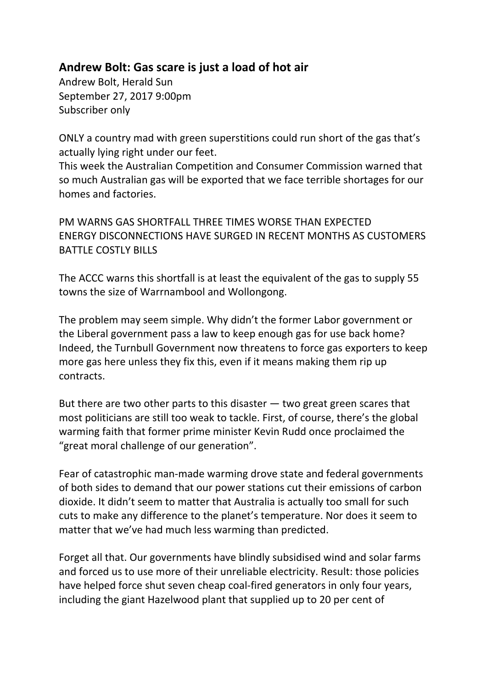## **Andrew Bolt: Gas scare is just a load of hot air**

Andrew Bolt, Herald Sun September 27, 2017 9:00pm Subscriber only

ONLY a country mad with green superstitions could run short of the gas that's actually lying right under our feet.

This week the Australian Competition and Consumer Commission warned that so much Australian gas will be exported that we face terrible shortages for our homes and factories.

PM WARNS GAS SHORTFALL THREE TIMES WORSE THAN EXPECTED ENERGY DISCONNECTIONS HAVE SURGED IN RECENT MONTHS AS CUSTOMERS BATTLE COSTLY BILLS

The ACCC warns this shortfall is at least the equivalent of the gas to supply 55 towns the size of Warrnambool and Wollongong.

The problem may seem simple. Why didn't the former Labor government or the Liberal government pass a law to keep enough gas for use back home? Indeed, the Turnbull Government now threatens to force gas exporters to keep more gas here unless they fix this, even if it means making them rip up contracts.

But there are two other parts to this disaster  $-$  two great green scares that most politicians are still too weak to tackle. First, of course, there's the global warming faith that former prime minister Kevin Rudd once proclaimed the "great moral challenge of our generation".

Fear of catastrophic man-made warming drove state and federal governments of both sides to demand that our power stations cut their emissions of carbon dioxide. It didn't seem to matter that Australia is actually too small for such cuts to make any difference to the planet's temperature. Nor does it seem to matter that we've had much less warming than predicted.

Forget all that. Our governments have blindly subsidised wind and solar farms and forced us to use more of their unreliable electricity. Result: those policies have helped force shut seven cheap coal-fired generators in only four years, including the giant Hazelwood plant that supplied up to 20 per cent of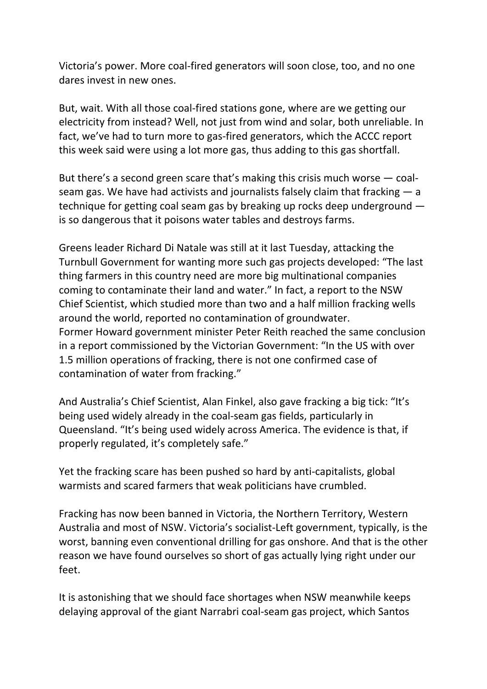Victoria's power. More coal-fired generators will soon close, too, and no one dares invest in new ones.

But, wait. With all those coal-fired stations gone, where are we getting our electricity from instead? Well, not just from wind and solar, both unreliable. In fact, we've had to turn more to gas-fired generators, which the ACCC report this week said were using a lot more gas, thus adding to this gas shortfall.

But there's a second green scare that's making this crisis much worse — coalseam gas. We have had activists and journalists falsely claim that fracking  $-$  a technique for getting coal seam gas by breaking up rocks deep underground is so dangerous that it poisons water tables and destroys farms.

Greens leader Richard Di Natale was still at it last Tuesday, attacking the Turnbull Government for wanting more such gas projects developed: "The last thing farmers in this country need are more big multinational companies coming to contaminate their land and water." In fact, a report to the NSW Chief Scientist, which studied more than two and a half million fracking wells around the world, reported no contamination of groundwater. Former Howard government minister Peter Reith reached the same conclusion in a report commissioned by the Victorian Government: "In the US with over 1.5 million operations of fracking, there is not one confirmed case of contamination of water from fracking."

And Australia's Chief Scientist, Alan Finkel, also gave fracking a big tick: "It's being used widely already in the coal-seam gas fields, particularly in Queensland. "It's being used widely across America. The evidence is that, if properly regulated, it's completely safe."

Yet the fracking scare has been pushed so hard by anti-capitalists, global warmists and scared farmers that weak politicians have crumbled.

Fracking has now been banned in Victoria, the Northern Territory, Western Australia and most of NSW. Victoria's socialist-Left government, typically, is the worst, banning even conventional drilling for gas onshore. And that is the other reason we have found ourselves so short of gas actually lying right under our feet.

It is astonishing that we should face shortages when NSW meanwhile keeps delaying approval of the giant Narrabri coal-seam gas project, which Santos